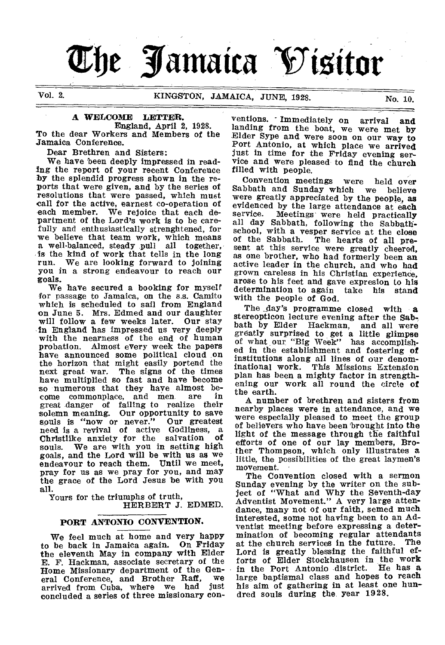# **The Jamaica Visitor**

# Vol. 2. KINGSTON, JAMAICA, JUNE, 1928. No. 10. 10.

# A WELCOME LETTER.

England, April 2, 1928. To the dear Workers and Members of the Jamaica Conference.

Dear Brethren and Sisters:

We have been deeply impressed in reading the report of your recent Conference by the splendid progress shown in the reports that were given, and by the series of resolutions that were passed, which must call for the active, earnest co-operation of each member. We rejoice that each department of the Lord's work is to be carefully and enthusiastically strenghtened, for we believe that team work, which means a well-balanced, steady pull all together, is the kind of work that tells in the long<br>run. We are looking forward to joining We are looking forward to joining you in a strong endeavour to reach our goals.

We have secured a booking for myself for passage to Jamaica, on the s.s. Camito which is scheduled to sail from England on June 5. Mrs. Edmed and our daughter will follow a few weeks later. Our stay in England has impressed us very deeply with the nearness of the end of human probation. Almost every week the papers have announced some political cloud on the horizon that might easily portend the next great war. The signs of the times The signs of the times have multiplied so fast and have become so numerous that they have almost be-<br>come commonplace, and men are in come commonplace, and men great danger of failing to realize their solemn meaning. Our opportunity to save souls is "now or never." Our greatest need is a revival of active Godliness, a Christlike anxiety for the salvation souls. We are with you in setting high goals, and the Lord will be with us as we endeavour to reach them. Until we meet, pray for us as we pray for you, and may the grace of the Lord Jesus be with you all.

Yours for the triumphs of truth, HERBERT J. EDMED.

# PORT ANTONIO CONVENTION.

We feel much at home and very happy to be back in Jamaica again. On Friday the eleventh May in company with Elder E. F. Hackman, associate secretary of the Home Missionary department of the Gen-<br>
oral Conference, and Brother Raff, we eral Conference, and Brother Raff, arrived from Cuba, where we had just concluded a series of three missionary con-

ventions. - Immediately on arrival and landing from the boat, we were met by Elder Sype and were soon on our way to Port Antonio, at which place we arrived just in time for the Friday evening service and were pleased to find the church filled with people.

Convention meetings were held over<br>bbath and Sunday which we believe Sabbath and Sunday which were greatly appreciated by the people, as evidenced by the large attendance at each<br>service. Meetings were held practically Meetings' were held practically all day Sabbath, following the Sabbathschool, with a vesper service at the close of the Sabbath. The hearts of all present at this service were greatly cheered, as one brother, who had formerly been an active leader in the church, and who had grown careless in his Christian experience, arose to his feet and gave expresion to his determination to again with the people of God.

The day's programme closed with a stereopticon lecture evening after the Sab-<br>bath by Elder Hackman, and all were Hackman, and all were greatly surprised to get a little glimpse of what our "Big Week" has accomplished in the establishment and fostering of institutions along all lines of our denominational work. This Missions Extension plan has been a mighty factor in strengthening our work all round the circle of the earth.

A number of brethren and sisters from nearby places were in attendance, and we were especially pleased to meet the group of believers who have been brought into the light of the message through the faithful efforts of one of our lay members, Brother Thompson, which only illustrates a little, the possibilities of the great laymen's movement.

The Convention closed with a sermon Sunday evening by the writer on the subject of "What and Why the Seventh-day Adventist Movement." A very large attendance, many not of our faith, semed much interested, some not having been to an Adventist meeting before expressing a determination of becoming regular attendants at the church services in the future. The Lord is greatly blessing the faithful efforts of Elder Stockhausen in the work in the Port Antonio district. He has a large baptismal class and hopes to reach his aim of gathering in at least one hundred souls during the. year 1928.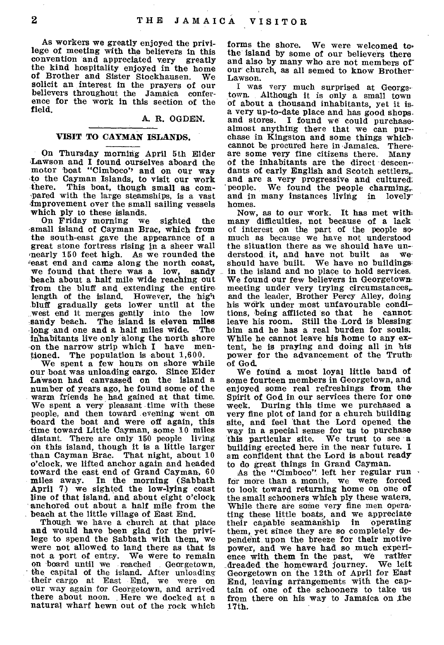As workers we greatly enjoyed the privilege of meeting with the believers in this convention and appreciated very greatly the kind hospitality enjoyed in the home of Brother and Sister Stockhausen. solicit an interest in the prayers of our believers throughout the Jamaica conference for the work in this section of the field.

#### A. R. OGDEN.

# VISIT TO CAYMAN ISLANDS.

On Thursday morning April 5th Elder Lawson and I found ourselves aboard the motor boat "Cimboco', and on our way to the Cayman Islands, to visit our work This boat, though small as compared with the large steamships, is a vast -improvement over the small sailing vessels which ply to these islands.

On Friday morning we sighted the small island of Cayman Brac, which from the south-east gave the appearance of a great stone fortress rising in a sheer wall nearly 150 feet high. As we rounded the east end and came along the north coast,<br>we found that there was a low, sandy. we found that there was a low, beach about a half mile wide reaching out from the bluff and extending the entirelength of the island. However, the high bluff gradually gets lower until at the west end it merges gently into the sandy beach. The island is eleven miles long and one and a half miles wide. The inhabitants live only along the north shore<br>on the narrow strin which I have menon the narrow strip which I have<br>tioned. The population is about  $1,$ The population is about 1,600.

We spent a few hours on shore while our boat was unloading cargo. Since Elder Lawson had canvassed on the island a number of years ago, he found some of the warm friends he had gained at that time. We spent a very pleasant time with these people, and then toward evening went on board the boat and were off again, this time toward Little Cayman, some 10 miles distant. There are only 150 people living on this island, though it is a little larger than Cayman Brac. That night, about 10 o'clock, we lifted anchor again and headed toward the east end of Grand Cayman, 60 miles away. In the morning (Sabbath April 7) we sighted the low-lying coast line of that island, and about eight o'clock anchored out about a half mile from the beach at the little village of East End.

Though we have a church at that place and would have been glad for the privilege to spend the Sabbath with them, we were not allowed, to land there as that is not a port of entry. We were to remain<br>on board until we reached Georgetown. on board until we reached the capital of the island. After unloading their cargo at East End, we were on our way again for Georgetown, and arrived there about noon. Here we docked at a natural wharf hewn out of the rock which

forms the shore. We were welcomed tothe island by some of our believers there and also by many who are not members of our church, as all semed to know Brother-Lawson.

I was very much surprised at Georgetown. Although it is only a small town of about a thousand inhabitants, yet it isa very up-to-date place and has good shopsand stores. I found we could purchasealmost anything there that we can purchase in Kingston and some things which, cannot be procured here in Jamaica. There-are some very fine citizens there. Many of the inhabitants are the direct descendants of early English and Scotch settlers, and are a very progressive and cultured: 'people. We found the people charming,. and in many instances living in lovelyhomes.

Now, as to our work. It has met with many difficulties, not because of a lack of interest on the part of the people somuch as because we have not understood the situation there as we should have un-<br>derstood it, and have not built, as we derstood it, and have not built should have built. We have no buildings in the island and no place to hold services. We found our few believers in Georgetown. meeting under very trying circumstances, and the leader, Brother Percy Alley, doing his work under most unfavourable conditions, being afflicted so that he cannot leave his room. Still the Lord is blessing: him and he has a real burden for souls. While he cannot leave his home to any extent, he is praying and doing all in his power for the advancement of the Truth of God.

We found a most loyal little band of some fourteen members in Georgetown, and enjoyed some real refreshings from the-Spirit of God in our services there for one week. During this time we purchased a During this time we purchased a very fine plot of land for a church building site, and feel that the Lord opened the way in a special sense for us to purchase this particular site. We trust to see a this particular site. We trust to see a building erected here in the near future. I am confident that the Lord is about ready to do great things in Grand Cayman.

As the "Cimboco" left her regular run for more than a month, we were forced to look toward returning home on one of the small schooners which ply these waters. While there are some very fine men operating these little boats, and we appreciate their capable seamanship in operating them, yet since they are so completely dependent upon the breeze for their motive power, and we have had so much experience with them in the past, we rather<br>dreaded the homeward journey. We left dreaded the homeward journey. Georgetown on the 12th of April for East End, leaving arrangements with the captain of one of the schooners to take us from there on his way to Jamaica on the 17th.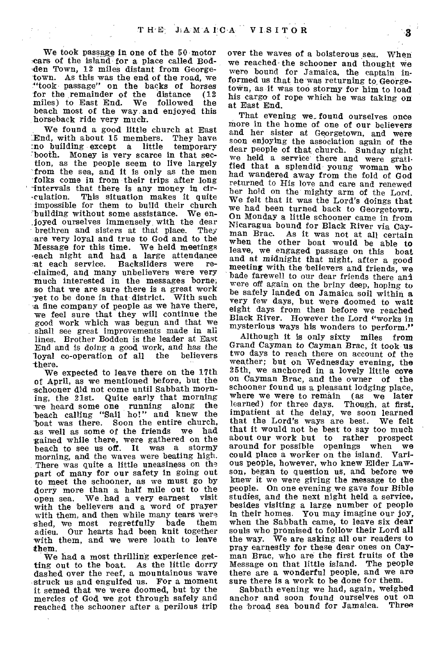We took passage in one of the 50 motor cars of the island for a place called Bodden Town, 12 miles distant from Georgetown. As this was the end of the road, we "took passage" on the backs of horses for the remainder of the distance (12 miles) to East End. We followed the miles) to East End. beach most of the way and enjoyed this horseback ride very much.

We found a good little church at East End, with about 15 members. They have :no building except a little temporary booth. Money is very scarce in that section, as the people seem to live largely from the sea, and it is only as the men folks come in from their trips after long ' intervals that there is any money in circulation. This situation makes it quite impossible for them to build their church building without some assistance. We enjoyed ourselves immensely with the dear<br>brethren and sisters at that place. They brethren and sisters at that place. are very loyal and true to God and to the Message for this time. We held meetings each night and had a large attendance<br>at each service. Backsliders were reat each service. Backsliders were claimed, and many unbelievers were very much interested in the messages borne; so that we are sure there is a great work<br>vet to be done in that district. With such yet to be done in that district. a fine company of people as we have there, we feel sure that they will continue the good work which was begun and that we shall see great improvements made in all lines. Brother Bodden is the leader at East End and is doing a good work, and has the loyal co-operation of all the -there.

We expected to leave there on the 17th of April, as we mentioned before, but the -schooner did not come until Sabbath morning, the 21st. Quite early that morning 'we heard some one running along the beach calling "Sail ho!" and knew the boat was there. Soon the entire church, as well as some of the friends we had gained while there, were gathered on the beach to see us off. It was a stormy morning, and the waves were beating high. There was quite a little uneasiness on the part of many for our safety in going out to meet the schooner, as we must go by dorry more than a half mile out to the open sea. We had a very earnest visit with the believers and a word of prayer with them, and then while many tears were<br>shed, we most regretfully bade them shed, we most regretfully adieu. Our hearts had been knit together with them, and we were loath to leave them.

We had a most thrilling experience getting out to the boat. As the little dorry dashed over the reef, a mountainous wave struck us and engulfed us. For a moment it semed that we were doomed, but by the mercies of God we got through safely and reached the schooner after a perilous trip

over the waves of a boisterous sea. When we reached-the schooner and thought we were bound for Jamaica, the captain informed us that he was returning to Georgetown, as it was too stormy for him to load his cargo of rope which he was taking on at East End.

That evening we found ourselves once more in the home of one of our believers and her sister at Georgetown, and were soon enjoying the association again of the dear people of that church. Sunday night we held a service' there and were gratified that a splendid, young woman who had wandered away from the fold of God returned to His love and care and renewed her hold on the mighty arm of the Lord. We felt that it was the Lord's doings that we had been turned back to Georgetown. On Monday a little schooner came in from Nicaragua bound for Black River via Cay-As it was not at all certain when the other boat would be able to leave, we engaged passage on this boat and at *midnight* that night, after a good meeting with the believers and friends, we bade farewell to our dear friends there and were off again on the briny deep, hoping to be safely landed on Jamaica soil within *a*  very few days, but were doomed to wait eight days from then before we reached Black River. However the Lord "works in mysterious ways his wonders to perform."

Although it is only sixty miles from Grand Cayman to Cayman Brac, it took us two days to reach there on account of the weather; but on Wednesday evening, the 25th, we anchored in a lovely little cove on Cayman Brac, and the owner of the schooner found us a pleasant lodging place, where we were to remain (as we later learned) for three days. Though, at first, impatient at the delay, we soon learned that the Lord's ways are best. We felt that it would not be best to say too much about our work but to rather prospect around for possible openings when we could place a worker on the island. Various people, however, who knew Elder Lawson, began to question us, and before we knew it we were giving the message to the people. On one evening we gave four Bible studies, and the next night held a service, besides visiting a large number of people in their homes. You may imagine our joy, when the Sabbath came, to leave six dear souls who promised to follow their Lord all the way. We are asking all our readers to pray earnestly for these dear ones on Cayman Brac, who are' the first fruits of the Message on that little island. The people there are a wonderful people, and we are sure there is a work to be done for them.

Sabbath evening we had, again, weighed anchor and soon found ourselves out on the broad sea bound for Jamaica. Three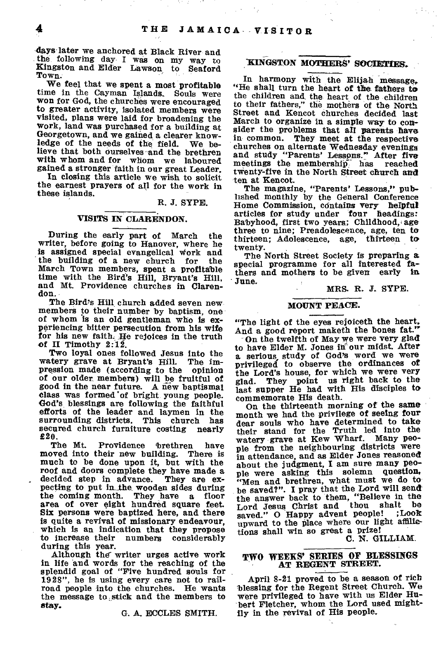days-later we anchored at Black River and the following day I was on my way to Kingston and Elder Lawson to Seaford Town.

We feel that we spent a most profitable time in the Cayman Islands. Souls were won for God, the churches were encouraged to greater activity, isolated members were visited, plans were laid for broadening the work, land was purchased for a building at Georgetown, and we gained a clearer know-<br>ledge of the needs of the field. We beledge of the needs of the field. lieve that both ourselves and the brethren with whom and for whom we laboured gained a stronger faith in our great Leader.

In closing this article we wish to solicit the earnest prayers of all for the work in these islands.

#### R. J. SYPE.

## VISITS IN CLARENDON.

During the early part of March the writer, before going to Hanover, where he is assigned special evangelical Work and the building of a new church for the March Town members, spent a profitable time with the Bird's Hill, Bryant's Hill, and Mt. Providence churches in Clarendon.

The Bird's Hill church added seven new members to their number by baptism, one of whom is an old gentleman who is experiencing bitter persecution from his wife for his new faith. He rejoices in the truth of II Timothy 2:12.

Two loyal ones followed Jesus into the watery grave at Bryant's Hill. The impression made (according to the opinion of our older members) will be fruitful of good in the near future. A new baptismal class was formed 'of bright young people. God's, blessings are following the faithful efforts of the leader and laymen in the surrounding districts. This church has<br>secured church furniture costing nearly secured church furniture costing  $20.$  The Mt.

Providence brethren have moved into their new building. There is much to be done upon it, but with the roof and doors complete they have made a decided step in advance. They are exdecided step in advance. pecting to put in the wooden sides during<br>the coming month. They have a floor They have a floor area of over eight hundred square feet. Six persons were baptized here, and there is quite a revival of missionary endeavour, which is an indication that they propose<br>to increase their numbers considerably to increase their numbers considerably during this year.

Although the writer urges active work in life and words for the reaching of the splendid goal of "Five hundred souls for 1928", he is using every care not to railroad people into the churches. He wants the message to stick and the members to stay.

G. A. ECCLES SMITH.

# KINGSTON MOTHERS' SOCIETIES.

In harmony with the Elijah message,. "He shall turn the heart of the fathers to the children and the heart of the children to their fathers," the mothers of the North Street and Kencot churches decided last March to organize in a simple way to consider the problems that all parents have in common. They meet at the respective churches on alternate Wednesday evenings and study "Parents' Lessons." After five meetings the membership has reached twenty-five in the North Street church and ten at Kencot.

The magazine, "Parents' Lessons," published monthly by the General Conference Home Commission, contains very helpful articles for study under four headings: Babyhood, first two years; Childhood, age three to nine; Preadolescence, age, ten to thirteen; Adolescence, age, thirteen to twenty.

The North Street Society is preparing a special programme for all interested fathers and mothers to be given early in. June.

# MRS. R. J. SYPE.

#### MOUNT PEACE.

"The light of the eyes rejoiceth the heart, And a good report maketh the bones fat."

On the twelfth of May we were very glad to have Elder M. Jones in our midst. After a serious, study of God's word we were privileged to observe the ordinances of the Lord's house, for which we were very glad. They point us right back to the They point us right back to the last supper He had with His disciples to commemorate His death.

On the thirteenth morning of the same month we had the privilege of seeing four dear souls who have determined to take their stand for the Truth led into the watery grave at Kew Wharf. Many peowatery grave at Kew Wharf. Many people from the neighbouring districts were in attendance, and as Elder Jones reasoned about the judgment, I am sure many people were asking this solemn question. "Men and brethren, what must we do to be saved?". I pray that the Lord will send the answer back to them, "Believe in the Lord Jesus Christ and thou shalt be Lord Jesus Christ and thou shalt be<br>saved." O Happy advent people! ;Look upward to the place where our light affilictions shall win so great a prize!

C. N. GILLIAM.

# **TWO WEEKS' SERIES OF BLESSINGS**  AT REGENT STREET.

April 8-21 proved to be a season of rich blessing for the Regent Street Church. We were privileged to have with us Elder Hubert Fletcher, whom the Lord used mightily in the revival of His people.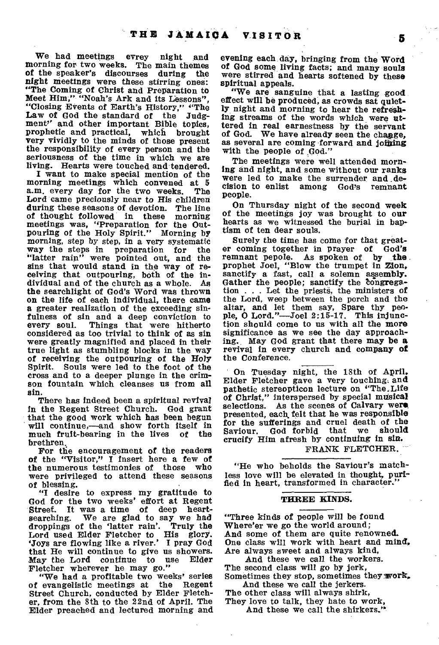We had meetings evrey night and Morning for two weeks. The main themes of the speaker's discourses during the *night* meetings were these stirring ones: "The Coming of Christ and Preparation to Meet Him;" "Noah's Ark and its Lessons", "Closing Events of Earth's History," "The Law of God the standard of the Judg-Law of God the standard of the ment" and other important Bible topics, prophetic and practical, which brought very vividly to the minds of those present the responsibility of every person and the seriousness of the time in which we are living. Hearts were touched and tendered.

**I** want to make special mention of the morning meetings which convened at 5 a.m. every day for the two weeks. Lord came preciously near to His children during these seasons of devotion. The line of thought followed in these morning meetings was, "Preparation for the Outpouring of the Holy Spirit." Morning by *morning,* step by step, in a very systematic way the steps in preparation for the "latter rain" were pointed out, and the sins that would stand in the way of receiving that outpouring, both of the individual and of the church as a whole. As the searchlight of God's Word was thrown on the life of each individual, there came *a* greater realization of the exceeding sinfulness of sin and a deep conviction to<br>every soul. Things that were hitherto Things that were hitherto considered as too trivial to think of as sin were greatly magnified and placed in their true light as stumbling blocks in the way of receiving the outpouring of the Holy Spirit. Souls were led to the foot of the cross and to a deeper plunge in the crimson fountain which cleanses us from all sin.

There has indeed been a spiritual revival in the Regent Street Church. God grant that the good work which has been begun will continue,—and show forth itself in<br>much fruit-bearing in the lives of the much fruit-bearing in the lives brethren.

For the encouragement of the readers of the "Visitor," I insert here a few of the numerous testimonies of those who were privileged to attend these seasons of blessing.

**"I** desire to express my gratitude to God for the two weeks' effort at Regent<br>Street. It was a time of deep heart-Street. It was a time of deep heart-<br>searching. We are glad to say we had We are glad to say we had<br>if the 'latter rain'. Truly the droppings of the 'latter rain'. Lord used Elder Fletcher to His glory. 'Joys are flowing like a river.' **I** pray God that He will continue to give us showers.<br>May the Lord continue to use Elder May the Lord continue Fletcher wherever he may go."

"We had a profitable two weeks' series of evangelistic meetings at the Regent Street Church, conducted by Elder Fletcher, from the 8th to the 22nd of April. The Elder preached and lectured morning and

evening each day, bringing from the Word of God some living facts; and many souls were stirred and hearts softened by these spiritual appeals.

"We are sanguine that a lasting good. effect will be produced, as crowds sat quietly night and morning to hear the refreshing streams of the words which *were* uttered in real earnestness by the servant of God. We have already seen the chagge, as several are coming forward and joining with the people of God."

The meetings were well attended morning and night, and some without our ranks were led to make the surrender and de-<br>cision to enlist among God's remnant cision to enlist among God's people.

On Thursday night of the second week of the meetings joy was brought to **our**  hearts as we witnessed the burial in baptism of ten dear souls.

Surely the time has come for that greater coming together in prayer of God's remnant pepole. As spoken of by **the**  prophet Joel, "Blow the trumpet in Zion, sanctify a fast, call a solemn assembly. Gather the people; sanctify the Congregation . . . Let the priests, the ministers of the Lord, weep between the porch and the altar, and let them say, Spare thy people, **0** Lord."—Joel 2:15-17. This injunction should come to us with all the **more**  significance as we see the day approaching. May God grant that there may **be a**  revival in every church and company **of**  the Conference.

On Tuesday night, the 18th of April, Elder Fletcher gave a very touching. and pathetic stereopticon lecture on "The,Life of Christ," interspersed by special musical selections. As the scenes of **Calvary were presented, each, felt that** he was responsible for the sufferings and cruel death of the<br>Saviour God forbid that we should Saviour. God forbid that **crucify Him** afresh by continuing **in sin.** 

#### **FRANK FLETCHER.**

**"He** who beholds the Saviour's matchless love will be elevated in thought, purified in heart, transformed in character.

#### **THREE KINDS.**

**"Three kinds** of people will be found Where'er we go the world around; And some of them are quite **renowned.**  One class will work with heart and mind, Are always sweet and always kind,

And these we call the workers. The second class will go by jerk, Sometimes they stop, sometimes they **work,**  And these we call the jerkers.

The other class will always shirk, They love to talk, they hate to work,

And these we call the shirkers."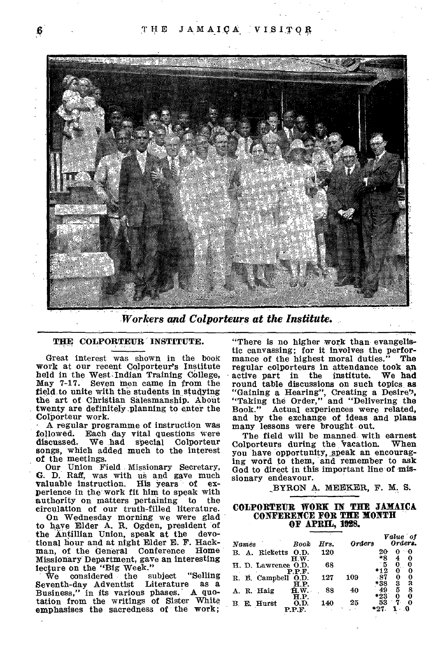

*Workers and Colportears at the Institute.* 

# THE COLPORTEUR INSTITUTE.

Great interest was shown in the book work at our recent Colporteur's Institute held in the West Indian Training College, May 7-17. Seven men came in from the field to unite with the students in studying the art of Christian Salesmanship. About twenty are definitely planning to enter the Colporteur work.

A regular programme of instruction was<br>followed. Each day vital questions were followed. Each day vital questions were<br>discussed. We had special Colporteur We had special Colporteur songs, which added much to the interest of the meetings.

Our Union Field Missionary Secretary, G. D. Raff, was with us and gave much valuable instruction. His years of exvaluable instruction. perience in the work fit him to speak with<br>authority on matters pertaining to the authority on matters pertaining circulation of our truth-filled literature.

On Wednesday morning we were glad to have Elder A. R. Ogden, president of the Antillian Union, speak at the devotional hour and at night Elder E. F. Hackman, of the General Conference Home Missionary Department, gave an interesting lecture on the "Big Week."

VVe considered the subject "Selling Seventh-day Adventist Literature as a Business," in its various phases. A quotation from the writings of Sister White emphasises the sacredness of the work;

"There is no higher work than evangelistic canvassing; for it involves the perfor-<br>mance of the highest moral duties." The mance of the highest moral duties." regular colporteurs in attendance took an active part in the institute. round table discussions on such topics, as "Gaining a Hearing", Creating a Desire', "Taking the Order," and "Delivering the Book." Actual experiences were related, and by the exchange of ideas and plans many lessons were brought out.

The field will be manned with earnest<br>loorteurs during the vacation. When Colporteurs during the vacation. You have opportunity, speak an encouraging word to them, and remember to ask God to direct in this important line of missionary endeavour.

BYRON A. MEEKER, F. M. S.

# **COLPORTEUR WORK IN THE JAMAICA CONFEREICE FOR THE MONTH OF APRIL, 1028.**

| Names               | Book           | Hrs. | <b>Orders</b> |             | Value of<br>Orders. |     |
|---------------------|----------------|------|---------------|-------------|---------------------|-----|
| Ricketts<br>B. A.   | O.D.<br>H.W.   | 120  |               | 20<br>*8    | 0                   | ៈ 0 |
| H. D. Lawrence O.D. | P.P.F.         | 68   |               | $*12$       | 0<br>0              | 0   |
| R. B. Campbell      | O.D.<br>ΗР.    | 127  | 109           | -87<br>*38  | 0<br>3              | 3   |
| A. R. Haig          | ff.W.<br>H.P.  | 88   | 40            | 49<br>$*23$ | 5<br>0              | 8   |
| E. Hurst<br>В.      | O.D.<br>P P F. | 140  | 25            | 53          | 7.                  |     |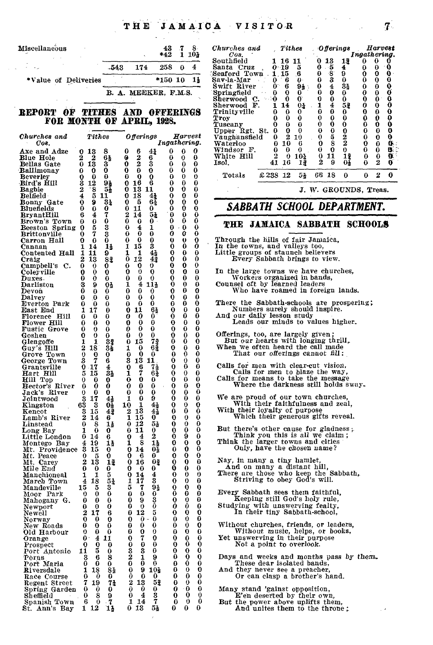THE JAMAICA VISITOR 7

# REPORT OF TITHES AND OFFERINGS **FOR MONTH OF APRIL, 1928.**

| Churches and                | Tithes                                                            | Offerings                                                        | Harvest                                                  | Vaughansfield<br>$\boldsymbol{2}$<br>0<br>$\frac{2}{2}$<br>0<br>0<br>10<br>5<br>0<br>0                                     |
|-----------------------------|-------------------------------------------------------------------|------------------------------------------------------------------|----------------------------------------------------------|----------------------------------------------------------------------------------------------------------------------------|
| Оов.                        |                                                                   |                                                                  | Ingathering.                                             | 8<br>ß.<br>010<br>0<br>0<br>Waterloo<br>6<br>0                                                                             |
| Axe and Adze                | 8<br>0 13                                                         | 0<br>6<br>41                                                     | 0<br>0<br>0                                              | $\mathbf 0$<br>0<br>0<br>0<br>8.<br>Windsor F.<br>0<br>0<br>0<br>0                                                         |
| Blue Hole                   | 2<br>$\bf{2}$<br>61                                               | $\frac{2}{2}$<br>0<br>6                                          | 0<br>0<br>0                                              | g.<br>White Hill<br>2<br>11<br>$\frac{13}{01}$<br>$\bf{0}$<br>0<br>$\theta$<br>10 <sub>4</sub><br>0<br>2<br>$\overline{2}$ |
| Bellas Gate                 | 0<br>13<br>3                                                      | 0<br>3                                                           | 0<br>0<br>0                                              | 0<br>41 16<br>11<br>9<br>Isol,<br>0                                                                                        |
| Ballimonay                  | 0<br>0<br>0                                                       | 0<br>0<br>0                                                      | 0<br>0<br>0                                              | £238 12<br>2<br>0<br>Totals<br>51<br>66 18<br>0<br>0                                                                       |
| Beverley                    | $\bf{0}$<br>$\Omega$<br>0                                         | 0<br>0<br>0                                                      | 0<br>0<br>0                                              |                                                                                                                            |
| Bird's Hill                 | 3<br>91<br>12<br>2                                                | 6<br>0<br>16<br>0<br>13                                          | 0<br>0<br>0<br>0<br>0<br>0                               |                                                                                                                            |
| Bagbie<br>Belfield          | 8<br>$5\pm$<br>4<br>5 11                                          | 11<br>0<br>4 <sub>2</sub>                                        | 0<br>0<br>0                                              | J. W. GROUNDS, Treas.                                                                                                      |
| Bonny Gate                  | 9<br>34<br>0                                                      | $\frac{18}{5}$<br>64<br>0                                        | 0<br>0                                                   |                                                                                                                            |
| Bluefields                  | 0<br>0                                                            | 0<br>11<br>0                                                     | $\begin{smallmatrix} 0 \\ 0 \end{smallmatrix}$<br>0<br>0 | SABBATH SCHOOL DEPARTMENT.                                                                                                 |
| BryantHill                  | $\frac{0}{7}$<br>4<br>6                                           | $\frac{2}{0}$<br>14<br>51                                        | 0<br>0<br>0                                              |                                                                                                                            |
| Brown's Town                | 0<br>0                                                            | 0<br>0                                                           | ō<br>Ō<br>$\bf{0}$                                       |                                                                                                                            |
| Beeston Spring              | 0<br>3<br>3<br>5<br>0                                             | $\bf{0}$<br>$\bf{4}$<br>1                                        | $\bf{0}$<br>0<br>$\bf{0}$                                | THE JAMAICA SABBATH SCHOOLS                                                                                                |
| <b>Brittonville</b>         | 7<br>0                                                            | $\bf{0}$<br>0<br>0                                               | 0<br>0<br>0                                              |                                                                                                                            |
| Carron Hall                 | 0<br>0<br>0                                                       | 0<br>0<br>0                                                      | 0<br>0<br>U                                              | Through the hills of fair Jamaica,                                                                                         |
| Canaan                      | 13<br>1<br>14                                                     | 3<br>1<br>15                                                     | 0<br>0<br>0<br>$\theta$                                  | In the towns, and valleys too,                                                                                             |
| Contented Hall              | 1<br>9<br>11<br>2<br>82<br>13                                     | 41<br>1<br>1<br>0<br>12<br>43                                    | 0<br>0<br>0<br>$\bf{0}$<br>0                             | Little groups of staunch believers<br>Every Sabbath brings to view.                                                        |
| Craig<br>Campbell's C.      | 0<br>$\mathbf 0$<br>0                                             | 0<br>0<br>0                                                      | 0<br>0<br>0                                              |                                                                                                                            |
| Coleyville                  | 0<br>$\bf{0}$<br>0                                                | 0<br>0<br>$\bf{0}$                                               | $\bf{0}$<br>0<br>0                                       | In the large towns we have churches,                                                                                       |
| Duxes.                      | 0<br>0<br>0                                                       | 0<br>0<br>0                                                      | 0<br>0<br>0                                              | Workers organized in bands,                                                                                                |
| Darliston                   | 3<br>9<br>01                                                      | 1<br>4<br>$11\frac{1}{2}$                                        | 0<br>0<br>0                                              | Counsel oft by learned leaders                                                                                             |
| Devon                       | 0<br>$\bf{0}$<br>0                                                | 0<br>$\bf{0}$<br>0                                               | 0<br>0<br>0                                              | Who have roamed in foreign lands.                                                                                          |
| Dalvey                      | 0<br>.0<br>0                                                      | 0<br>0<br>0                                                      | 0<br>0<br>0                                              |                                                                                                                            |
| Everton Park                | 0<br>0<br>0                                                       | 0<br>0<br>0                                                      | 0<br>0<br>0                                              | There the Sabbath-schools are prospering;<br>Numbers surely should inspire.                                                |
| East End                    | 17<br>0<br>1                                                      | 11<br>0<br>61                                                    | $\bf{0}$<br>0<br>0                                       |                                                                                                                            |
| Florence Hill               | 0<br>0<br>0                                                       | 0<br>0<br>0                                                      | 0<br>0<br>0                                              | And our daily lesson study<br>Leads our minds to values higher.                                                            |
| Flower Hill<br>Fustic Grove | 0<br>0<br>0<br>0<br>0                                             | 0<br>0<br>0<br>0<br>0<br>0                                       | 0<br>0<br>0<br>0<br>0<br>0                               |                                                                                                                            |
| Goshen                      | 0<br>0<br>0<br>0                                                  | 0<br>0<br>0                                                      | 0<br>0<br>0                                              | Offerings, too, are largely given;                                                                                         |
| Glengoffe                   | 1<br>1<br>34                                                      | 0<br>15                                                          | 0<br>0<br>0                                              | But our hearts with longing thrill,                                                                                        |
| Guy's Hill                  | 2<br>18<br>33                                                     | $\begin{smallmatrix} 73 \\[-4pt] 64 \end{smallmatrix}$<br>1<br>0 | 0<br>0<br>0                                              | When we often heard the call made                                                                                          |
| Grove Town                  | $\bf{0}$<br>0<br>0                                                | 0<br>0                                                           | 0<br>0<br>0                                              | That our offerings cannot fill:                                                                                            |
| George Town                 | 3<br>6                                                            | $\frac{0}{3}$<br>13<br>11                                        | 0<br>0<br>0                                              |                                                                                                                            |
| Grantsville                 | $\begin{array}{c} \n7 \\ 17 \\ 15\n\end{array}$<br>0<br>4         | $\frac{0}{1}$<br>6<br>$\tau_2$                                   | 0<br>0<br>0                                              | Calls for men with clear-cut vision,                                                                                       |
| Hart Hill<br>Hill Top       | $3\frac{1}{2}$<br>5                                               | 7<br>62                                                          | 0<br>0<br>0                                              | Calls for men to blaze the way,                                                                                            |
|                             | 0<br>0<br>0                                                       | $\bf{0}$<br>0<br>0                                               | 0<br>0<br>0                                              | Calls for means to take the message<br>Where the darkness still holds sway.                                                |
| Hector's River              | 0<br>0<br>0                                                       | 0<br>0<br>0                                                      | 0<br>0<br>0<br>0                                         |                                                                                                                            |
| Jack's River                | 0<br>0<br>0<br>17<br>3                                            | 0<br>0<br>0<br>0<br>9<br>1                                       | 0<br>0<br>0<br>0<br>0                                    | We are proud of our town churches,                                                                                         |
| Jointwood<br>Kingston       | $\frac{4}{3}$<br>3                                                | 10<br>41                                                         | 0<br>0<br>0                                              | With their faithfulness and zeal,                                                                                          |
| Kencot                      | 15<br>41                                                          | $4\bar{2}$                                                       | 0<br>0<br>0                                              | With their loyalty of purpose                                                                                              |
| Lamb's River                | $\begin{smallmatrix} 6\bar{3}\ 3\ 2 \end{smallmatrix}$<br>14<br>6 | $\frac{1}{15}$<br>$\frac{2}{1}$<br>0                             | 0<br>0<br>0                                              | Which their generous gifts reveal.                                                                                         |
| Linstead                    | 0<br>8<br>1,                                                      | $\frac{12}{11}$<br>0<br>53                                       | 0<br>0<br>0                                              |                                                                                                                            |
| Long Bay                    | 0<br>0<br>1                                                       | 0<br>0                                                           | 0<br>0<br>0                                              | But there's other cause for gladness;                                                                                      |
| Little London               | 0<br>14<br>6                                                      | $\boldsymbol{2}$<br>0<br>4                                       | 0<br>9<br>0                                              | Think you this is all we claim;                                                                                            |
| Montego Bay                 | $\frac{4}{3}$<br>19<br>1}                                         | š<br>1<br>11                                                     | 0<br>0<br>0<br>0                                         | Think the larger towns and cities<br>Only, have the chosen name?                                                           |
| Mt. Providence              | 15<br>0<br>0                                                      | 03<br>14<br>0<br>0<br>0<br>6                                     | 0<br>0<br>0<br>0<br>0                                    |                                                                                                                            |
| Mt. Peace<br>Mt. Carey      | 0<br>5<br>$1\overline{3}$<br>$\overline{\mathbf{2}}$<br>12        | 02<br>0<br>16                                                    | $\bf{0}$<br>0                                            | Nay, in many a tiny hamlet,                                                                                                |
| Mile End                    | 0<br>$\bf{0}$<br>0                                                | 0<br>$\bf{0}$<br>0                                               | $\boldsymbol{0}$<br>0<br>0                               | And on many a distant hill,                                                                                                |
| Manchioneal                 | 5<br>1<br>1                                                       | 14<br>4<br>0                                                     | $\mathbf 0$<br>0<br>0                                    | There are those who keep the Sabbath,                                                                                      |
| March Town                  | 4                                                                 | 17<br>3<br>1                                                     | 0<br>$\mathbf 0$<br>0                                    | Striving to obey God's will.                                                                                               |
| Mandeville                  | $\frac{18}{5}$<br>$\frac{51}{3}$<br>15                            | 7<br>5<br>91                                                     | $\bf{0}$<br>0<br>0                                       |                                                                                                                            |
| Moor Park                   | 0<br>$\bf{0}$<br>0                                                | 0<br>0<br>0                                                      | 0<br>0<br>0                                              | Every Sabbath sees them faithful,                                                                                          |
| Mahogany G.                 | 0<br>$\bf{0}$<br>0                                                | 3<br>9<br>0                                                      | 0<br>0<br>0                                              | Keeping still God's holy rule,                                                                                             |
| Newport                     | $\bf{0}$<br>0<br>0                                                | Ò<br>0<br>0                                                      | 0<br>0<br>0                                              | Studying with unswerving fealty,                                                                                           |
| Newell                      | $\boldsymbol{2}$<br>17<br>6                                       | 5<br>0<br>12                                                     | $\mathbf 0$<br>0<br>0<br>0                               | In their tiny Sabbath-school,                                                                                              |
| Norway                      | 0<br>0<br>0<br>0<br>0                                             | $\bf{0}$<br>0<br>0<br>0<br>0<br>0                                | 0<br>0<br>0<br>0<br>0                                    |                                                                                                                            |
| New Roads<br>Old Harbour    | 0<br>0<br>0<br>0                                                  | 0<br>0<br>0                                                      | $\bf{0}$<br>0<br>0                                       | Without churches, friends, or leaders,<br>Without music, helps, or books,                                                  |
| Orange                      | 0<br>$\overline{\mathbf{4}}$<br>11                                | 0<br>7<br>0                                                      | 0<br>0<br>0                                              | Yet unswerving in their purpose                                                                                            |
| Prospect                    | 0<br>0<br>0                                                       | $\bf{0}$<br>0<br>0                                               | 0<br>0<br>0                                              | Not a point to overlook.                                                                                                   |
| Port Antonio                | 5<br>11<br>0                                                      | $\frac{3}{2}$<br>3<br>0                                          | 0<br>0<br>0                                              |                                                                                                                            |
| Porus                       | 3<br>6<br>8                                                       | 1<br>9                                                           | 0<br>0<br>0                                              | Days and weeks and months pass by them.                                                                                    |
| Port Maria                  | 0<br>0<br>0                                                       | 0<br>0<br>0                                                      | 0<br>0<br>0                                              | These dear isolated bands,                                                                                                 |
| Riversdale                  | 1<br>18<br>81                                                     | 0<br>9<br>10}                                                    | 0<br>0<br>0                                              | And they never see a preacher,                                                                                             |
| Race Course                 | $\frac{0}{7}$<br>0<br>0                                           | 0<br>0<br>0                                                      | 0<br>0<br>0                                              | Or can clasp a brother's hand.                                                                                             |
| Regent Street               | 74<br>19<br>0<br>0<br>0                                           | 2<br>13<br>51<br>0<br>0<br>0                                     | 0<br>0<br>0<br>0<br>0<br>0                               |                                                                                                                            |
| Spring Garden<br>Sheffield  | 0<br>8<br>9                                                       | 4<br>0                                                           | 0<br>0<br>0                                              | Many stand 'gainst opposition,<br>E'en deserted by their own,                                                              |
| Spanish Town                | 6<br>7<br>0                                                       | 3<br>7<br>1<br>14                                                | 0<br>0<br>0                                              | But the power above uplifts them,                                                                                          |
| St. Ann's Bay               | 1 12<br>11                                                        | 0<br>13<br>53                                                    | 0<br>0<br>0                                              | And unites them to the throne :                                                                                            |
|                             |                                                                   |                                                                  |                                                          |                                                                                                                            |

| Miscellaneous                                          |                              |              |                             | 43<br>$*42$      |          | $8-$<br>101 | Churches and<br>$\mathbf{\mathit{Cos.}}$                                                                  |                                  | <b>Tithes</b> |         | Offerings     |                                                                                                                                                                                                                                                                                                                                                | Ingathering. | Harvest |           |
|--------------------------------------------------------|------------------------------|--------------|-----------------------------|------------------|----------|-------------|-----------------------------------------------------------------------------------------------------------|----------------------------------|---------------|---------|---------------|------------------------------------------------------------------------------------------------------------------------------------------------------------------------------------------------------------------------------------------------------------------------------------------------------------------------------------------------|--------------|---------|-----------|
| *Value of Deliveries                                   |                              | $-543$       | 174                         | 258<br>$*15010$  | $\Omega$ | 4<br>15     | Southfield<br>Santa Cruz<br>Seaford Town<br>Sav-la-Mar<br>0                                               | 1 16 11<br>$0 - 19$<br>1.15<br>6 | ā<br>6        | 0.<br>в | 13<br>-5<br>я | 18<br>4                                                                                                                                                                                                                                                                                                                                        |              |         |           |
| REPORT<br>of<br>FOR MONTH OF APRIL. 1928.              | <b>TITHES</b>                |              | B. A. MEEKER. F.M.S.<br>AND | <b>OFFERINGS</b> |          |             | Swift River<br>- 01<br>Springfield<br>o<br>Sherwood C.<br>-0<br>Sherwood F.<br>Trinity ville<br>Ω<br>Troy | в<br>14                          | 94<br>04      |         |               | 33<br>52                                                                                                                                                                                                                                                                                                                                       |              |         |           |
| Churches and<br>$\cos$ .                               | Tithes                       |              | <b>Offerings</b>            | Ingathering.     |          | Harvest     | Tuscany<br>Upper Rgt. St.<br>Vaughansfield<br>0<br>Waterloo<br>0                                          | 10                               | 10<br>6       |         |               | 2                                                                                                                                                                                                                                                                                                                                              |              |         | В.        |
| Axe and Adze<br>Blue Hole<br>Bellas Gate<br>Ballimonav | 13<br>0<br>2<br>2<br>13<br>Ω | 8<br>υ<br>61 | 6<br>6<br>2                 | 4ż               |          | 0           | Windsor F.<br>White Hill<br>Isol.<br>41                                                                   | Ð<br>16                          | 102<br>12     | 0<br>2  | 11<br>я       | 12<br>03                                                                                                                                                                                                                                                                                                                                       | 0<br>0       |         | B. .<br>Œ |
| <b>Beverley</b><br>Bird's Hill<br>ma akta              | 12<br>2                      | 91           | 16                          |                  |          |             | £238 12<br>Totals                                                                                         |                                  | 51<br>$\sim$  | 66 18   |               | $\Omega$<br>$\mathbf{M}$ $\mathbf{M}$ $\mathbf{M}$ $\mathbf{M}$ $\mathbf{M}$ $\mathbf{M}$ $\mathbf{M}$ $\mathbf{M}$ $\mathbf{M}$ $\mathbf{M}$ $\mathbf{M}$ $\mathbf{M}$ $\mathbf{M}$ $\mathbf{M}$ $\mathbf{M}$ $\mathbf{M}$ $\mathbf{M}$ $\mathbf{M}$ $\mathbf{M}$ $\mathbf{M}$ $\mathbf{M}$ $\mathbf{M}$ $\mathbf{M}$ $\mathbf{M}$ $\mathbf{$ | 0            |         | 20        |

# 0 *SABBATH SCHOOL DEPARTMENT.*

#### THE JAMAICA SABBATH SCHOOLS